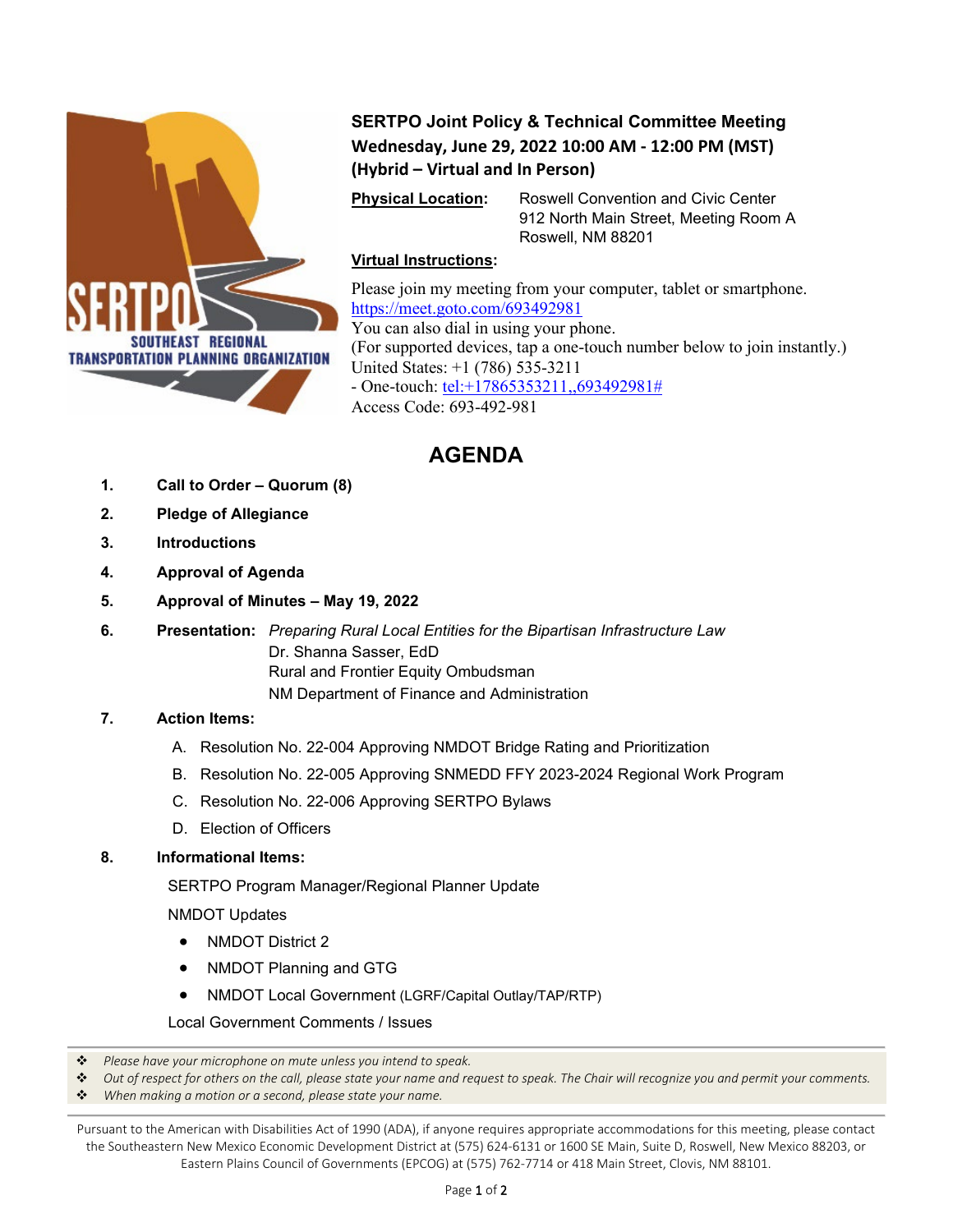

**SERTPO Joint Policy & Technical Committee Meeting Wednesday, June 29, 2022 10:00 AM - 12:00 PM (MST) (Hybrid – Virtual and In Person)**

**Physical Location:** Roswell Convention and Civic Center 912 North Main Street, Meeting Room A Roswell, NM 88201

## **Virtual Instructions:**

Please join my meeting from your computer, tablet or smartphone. <https://meet.goto.com/693492981> You can also dial in using your phone. (For supported devices, tap a one-touch number below to join instantly.) United States: +1 (786) 535-3211 - One-touch: [tel:+17865353211,,693492981#](tel:+17865353211,,693492981) Access Code: 693-492-981

## **AGENDA**

- **1. Call to Order – Quorum (8)**
- **2. Pledge of Allegiance**
- **3. Introductions**
- **4. Approval of Agenda**
- **5. Approval of Minutes – May 19, 2022**
- **6. Presentation:** *Preparing Rural Local Entities for the Bipartisan Infrastructure Law* Dr. Shanna Sasser, EdD Rural and Frontier Equity Ombudsman NM Department of Finance and Administration

## **7. Action Items:**

- A. Resolution No. 22-004 Approving NMDOT Bridge Rating and Prioritization
- B. Resolution No. 22-005 Approving SNMEDD FFY 2023-2024 Regional Work Program
- C. Resolution No. 22-006 Approving SERTPO Bylaws
- D. Election of Officers

## **8. Informational Items:**

SERTPO Program Manager/Regional Planner Update

NMDOT Updates

- NMDOT District 2
- NMDOT Planning and GTG
- NMDOT Local Government (LGRF/Capital Outlay/TAP/RTP)

Local Government Comments / Issues

- *Please have your microphone on mute unless you intend to speak.*
- *Out of respect for others on the call, please state your name and request to speak. The Chair will recognize you and permit your comments.*
- *When making a motion or a second, please state your name.*

Pursuant to the American with Disabilities Act of 1990 (ADA), if anyone requires appropriate accommodations for this meeting, please contact the Southeastern New Mexico Economic Development District at (575) 624-6131 or 1600 SE Main, Suite D, Roswell, New Mexico 88203, or Eastern Plains Council of Governments (EPCOG) at (575) 762-7714 or 418 Main Street, Clovis, NM 88101.